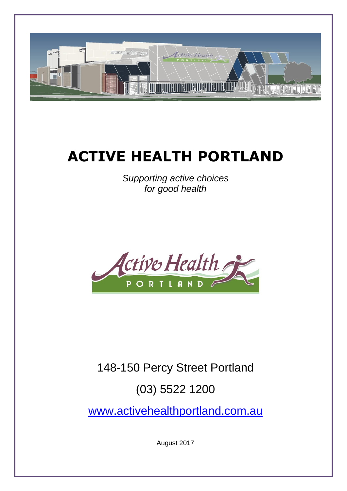

# **ACTIVE HEALTH PORTLAND**

*Supporting active choices for good health*



## 148-150 Percy Street Portland

### (03) 5522 1200

[www.activehealthportland.com.au](http://www.activehealthportland.com.au/)

August 2017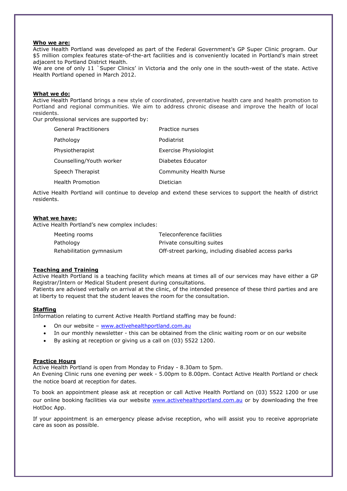#### **Who we are:**

Active Health Portland was developed as part of the Federal Government's GP Super Clinic program. Our \$5 million complex features state-of-the-art facilities and is conveniently located in Portland's main street adjacent to Portland District Health.

We are one of only 11 `Super Clinics' in Victoria and the only one in the south-west of the state. Active Health Portland opened in March 2012.

#### **What we do:**

Active Health Portland brings a new style of coordinated, preventative health care and health promotion to Portland and regional communities. We aim to address chronic disease and improve the health of local residents.

Our professional services are supported by:

| <b>General Practitioners</b> | Practice nurses               |
|------------------------------|-------------------------------|
| Pathology                    | Podiatrist                    |
| Physiotherapist              | Exercise Physiologist         |
| Counselling/Youth worker     | Diabetes Educator             |
| Speech Therapist             | <b>Community Health Nurse</b> |
| <b>Health Promotion</b>      | Dietician                     |

Active Health Portland will continue to develop and extend these services to support the health of district residents.

#### **What we have:**

Active Health Portland's new complex includes:

| Meeting rooms            | Teleconference facilities                           |
|--------------------------|-----------------------------------------------------|
| Pathology                | Private consulting suites                           |
| Rehabilitation gymnasium | Off-street parking, including disabled access parks |

#### **Teaching and Training**

Active Health Portland is a teaching facility which means at times all of our services may have either a GP Registrar/Intern or Medical Student present during consultations. Patients are advised verbally on arrival at the clinic, of the intended presence of these third parties and are

#### **Staffing**

Information relating to current Active Health Portland staffing may be found:

at liberty to request that the student leaves the room for the consultation.

- On our website [www.activehealthportland.com.au](http://www.activehealthportland.com.au/)
- In our monthly newsletter this can be obtained from the clinic waiting room or on our website
- By asking at reception or giving us a call on (03) 5522 1200.

#### **Practice Hours**

Active Health Portland is open from Monday to Friday - 8.30am to 5pm.

An Evening Clinic runs one evening per week - 5.00pm to 8.00pm. Contact Active Health Portland or check the notice board at reception for dates.

To book an appointment please ask at reception or call Active Health Portland on (03) 5522 1200 or use our online booking facilities via our website [www.activehealthportland.com.au](http://www.activehealthportland.com.au/) or by downloading the free HotDoc App.

If your appointment is an emergency please advise reception, who will assist you to receive appropriate care as soon as possible.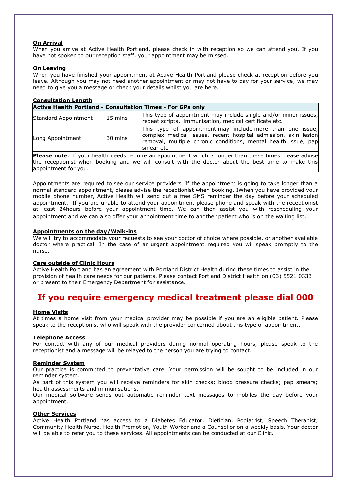#### **On Arrival**

When you arrive at Active Health Portland, please check in with reception so we can attend you. If you have not spoken to our reception staff, your appointment may be missed.

#### **On Leaving**

When you have finished your appointment at Active Health Portland please check at reception before you leave. Although you may not need another appointment or may not have to pay for your service, we may need to give you a message or check your details whilst you are here.

| <b>Consultation Length</b>                                                                                     |                   |                                                                                                                                                                                                            |  |
|----------------------------------------------------------------------------------------------------------------|-------------------|------------------------------------------------------------------------------------------------------------------------------------------------------------------------------------------------------------|--|
| <b>Active Health Portland - Consultation Times - For GPs only</b>                                              |                   |                                                                                                                                                                                                            |  |
| Standard Appointment                                                                                           | $15 \text{ mins}$ | This type of appointment may include single and/or minor issues,<br>repeat scripts, immunisation, medical certificate etc.                                                                                 |  |
| Long Appointment                                                                                               | 30 mins           | This type of appointment may include more than one issue,<br>complex medical issues, recent hospital admission, skin lesion<br>removal, multiple chronic conditions, mental health issue, pap<br>smear etc |  |
| <b>Please note:</b> If your health needs require an appointment which is longer than these times please advise |                   |                                                                                                                                                                                                            |  |

the receptionist when booking and we will consult with the doctor about the best time to make this appointment for you.

Appointments are required to see our service providers. If the appointment is going to take longer than a normal standard appointment, please advise the receptionist when booking. IWhen you have provided your mobile phone number, Active Health will send out a free SMS reminder the day before your scheduled appointment. If you are unable to attend your appointment please phone and speak with the receptionist at least 24hours before your appointment time. We can then assist you with rescheduling your appointment and we can also offer your appointment time to another patient who is on the waiting list.

#### **Appointments on the day/Walk-ins**

We will try to accommodate your requests to see your doctor of choice where possible, or another available doctor where practical. In the case of an urgent appointment required you will speak promptly to the nurse.

#### **Care outside of Clinic Hours**

Active Health Portland has an agreement with Portland District Health during these times to assist in the provision of health care needs for our patients. Please contact Portland District Health on (03) 5521 0333 or present to their Emergency Department for assistance.

### **If you require emergency medical treatment please dial 000**

#### **Home Visits**

At times a home visit from your medical provider may be possible if you are an eligible patient. Please speak to the receptionist who will speak with the provider concerned about this type of appointment.

#### **Telephone Access**

For contact with any of our medical providers during normal operating hours, please speak to the receptionist and a message will be relayed to the person you are trying to contact.

#### **Reminder System**

Our practice is committed to preventative care. Your permission will be sought to be included in our reminder system.

As part of this system you will receive reminders for skin checks; blood pressure checks; pap smears; health assessments and immunisations.

Our medical software sends out automatic reminder text messages to mobiles the day before your appointment.

#### **Other Services**

Active Health Portland has access to a Diabetes Educator, Dietician, Podiatrist, Speech Therapist, Community Health Nurse, Health Promotion, Youth Worker and a Counsellor on a weekly basis. Your doctor will be able to refer you to these services. All appointments can be conducted at our Clinic.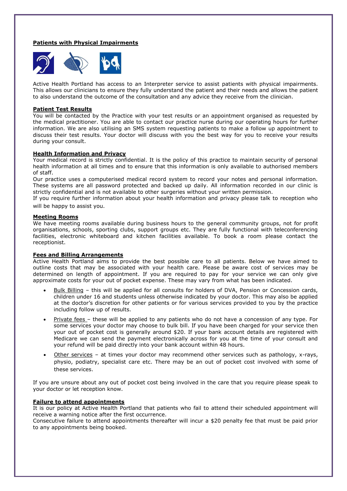#### **Patients with Physical Impairments**



Active Health Portland has access to an Interpreter service to assist patients with physical impairments. This allows our clinicians to ensure they fully understand the patient and their needs and allows the patient to also understand the outcome of the consultation and any advice they receive from the clinician.

#### **Patient Test Results**

You will be contacted by the Practice with your test results or an appointment organised as requested by the medical practitioner. You are able to contact our practice nurse during our operating hours for further information. We are also utilising an SMS system requesting patients to make a follow up appointment to discuss their test results. Your doctor will discuss with you the best way for you to receive your results during your consult.

#### **Health Information and Privacy**

Your medical record is strictly confidential. It is the policy of this practice to maintain security of personal health information at all times and to ensure that this information is only available to authorised members of staff.

Our practice uses a computerised medical record system to record your notes and personal information. These systems are all password protected and backed up daily. All information recorded in our clinic is strictly confidential and is not available to other surgeries without your written permission.

If you require further information about your health information and privacy please talk to reception who will be happy to assist you.

#### **Meeting Rooms**

We have meeting rooms available during business hours to the general community groups, not for profit organisations, schools, sporting clubs, support groups etc. They are fully functional with teleconferencing facilities, electronic whiteboard and kitchen facilities available. To book a room please contact the receptionist.

#### **Fees and Billing Arrangements**

Active Health Portland aims to provide the best possible care to all patients. Below we have aimed to outline costs that may be associated with your health care. Please be aware cost of services may be determined on length of appointment. If you are required to pay for your service we can only give approximate costs for your out of pocket expense. These may vary from what has been indicated.

- Bulk Billing this will be applied for all consults for holders of DVA, Pension or Concession cards, children under 16 and students unless otherwise indicated by your doctor. This may also be applied at the doctor's discretion for other patients or for various services provided to you by the practice including follow up of results.
- Private fees these will be applied to any patients who do not have a concession of any type. For some services your doctor may choose to bulk bill. If you have been charged for your service then your out of pocket cost is generally around \$20. If your bank account details are registered with Medicare we can send the payment electronically across for you at the time of your consult and your refund will be paid directly into your bank account within 48 hours.
- Other services at times your doctor may recommend other services such as pathology, x-rays, physio, podiatry, specialist care etc. There may be an out of pocket cost involved with some of these services.

If you are unsure about any out of pocket cost being involved in the care that you require please speak to your doctor or let reception know.

#### **Failure to attend appointments**

It is our policy at Active Health Portland that patients who fail to attend their scheduled appointment will receive a warning notice after the first occurrence.

Consecutive failure to attend appointments thereafter will incur a \$20 penalty fee that must be paid prior to any appointments being booked.